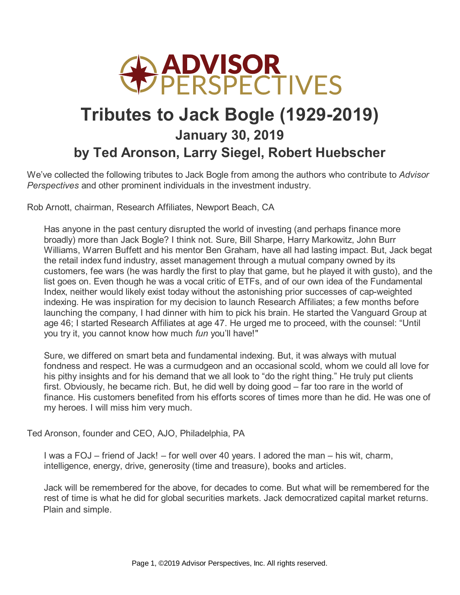

## **Tributes to Jack Bogle (1929-2019) January 30, 2019 by Ted Aronson, Larry Siegel, Robert Huebscher**

We've collected the following tributes to Jack Bogle from among the authors who contribute to *Advisor Perspectives* and other prominent individuals in the investment industry.

Rob Arnott, chairman, Research Affiliates, Newport Beach, CA

Has anyone in the past century disrupted the world of investing (and perhaps finance more broadly) more than Jack Bogle? I think not. Sure, Bill Sharpe, Harry Markowitz, John Burr Williams, Warren Buffett and his mentor Ben Graham, have all had lasting impact. But, Jack begat the retail index fund industry, asset management through a mutual company owned by its customers, fee wars (he was hardly the first to play that game, but he played it with gusto), and the list goes on. Even though he was a vocal critic of ETFs, and of our own idea of the Fundamental Index, neither would likely exist today without the astonishing prior successes of cap-weighted indexing. He was inspiration for my decision to launch Research Affiliates; a few months before launching the company, I had dinner with him to pick his brain. He started the Vanguard Group at age 46; I started Research Affiliates at age 47. He urged me to proceed, with the counsel: "Until you try it, you cannot know how much *fun* you'll have!"

Sure, we differed on smart beta and fundamental indexing. But, it was always with mutual fondness and respect. He was a curmudgeon and an occasional scold, whom we could all love for his pithy insights and for his demand that we all look to "do the right thing." He truly put clients first. Obviously, he became rich. But, he did well by doing good – far too rare in the world of finance. His customers benefited from his efforts scores of times more than he did. He was one of my heroes. I will miss him very much.

Ted Aronson, founder and CEO, AJO, Philadelphia, PA

I was a FOJ – friend of Jack! – for well over 40 years. I adored the man – his wit, charm, intelligence, energy, drive, generosity (time and treasure), books and articles.

Jack will be remembered for the above, for decades to come. But what will be remembered for the rest of time is what he did for global securities markets. Jack democratized capital market returns. Plain and simple.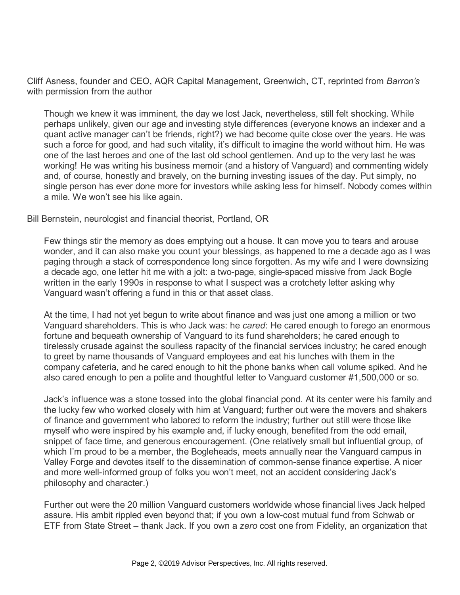Cliff Asness, founder and CEO, AQR Capital Management, Greenwich, CT, reprinted from *Barron's* with permission from the author

Though we knew it was imminent, the day we lost Jack, nevertheless, still felt shocking. While perhaps unlikely, given our age and investing style differences (everyone knows an indexer and a quant active manager can't be friends, right?) we had become quite close over the years. He was such a force for good, and had such vitality, it's difficult to imagine the world without him. He was one of the last heroes and one of the last old school gentlemen. And up to the very last he was working! He was writing his business memoir (and a history of Vanguard) and commenting widely and, of course, honestly and bravely, on the burning investing issues of the day. Put simply, no single person has ever done more for investors while asking less for himself. Nobody comes within a mile. We won't see his like again.

## Bill Bernstein, neurologist and financial theorist, Portland, OR

Few things stir the memory as does emptying out a house. It can move you to tears and arouse wonder, and it can also make you count your blessings, as happened to me a decade ago as I was paging through a stack of correspondence long since forgotten. As my wife and I were downsizing a decade ago, one letter hit me with a jolt: a two-page, single-spaced missive from Jack Bogle written in the early 1990s in response to what I suspect was a crotchety letter asking why Vanguard wasn't offering a fund in this or that asset class.

At the time, I had not yet begun to write about finance and was just one among a million or two Vanguard shareholders. This is who Jack was: he *cared*: He cared enough to forego an enormous fortune and bequeath ownership of Vanguard to its fund shareholders; he cared enough to tirelessly crusade against the soulless rapacity of the financial services industry; he cared enough to greet by name thousands of Vanguard employees and eat his lunches with them in the company cafeteria, and he cared enough to hit the phone banks when call volume spiked. And he also cared enough to pen a polite and thoughtful letter to Vanguard customer #1,500,000 or so.

Jack's influence was a stone tossed into the global financial pond. At its center were his family and the lucky few who worked closely with him at Vanguard; further out were the movers and shakers of finance and government who labored to reform the industry; further out still were those like myself who were inspired by his example and, if lucky enough, benefited from the odd email, snippet of face time, and generous encouragement. (One relatively small but influential group, of which I'm proud to be a member, the Bogleheads, meets annually near the Vanguard campus in Valley Forge and devotes itself to the dissemination of common-sense finance expertise. A nicer and more well-informed group of folks you won't meet, not an accident considering Jack's philosophy and character.)

Further out were the 20 million Vanguard customers worldwide whose financial lives Jack helped assure. His ambit rippled even beyond that; if you own a low-cost mutual fund from Schwab or ETF from State Street – thank Jack. If you own a *zero* cost one from Fidelity, an organization that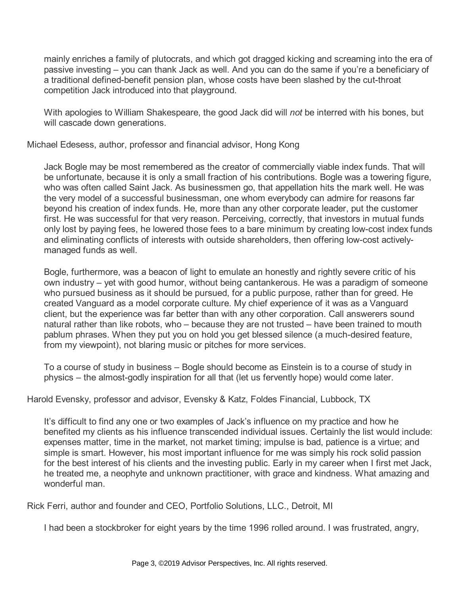mainly enriches a family of plutocrats, and which got dragged kicking and screaming into the era of passive investing – you can thank Jack as well. And you can do the same if you're a beneficiary of a traditional defined-benefit pension plan, whose costs have been slashed by the cut-throat competition Jack introduced into that playground.

With apologies to William Shakespeare, the good Jack did will *not* be interred with his bones, but will cascade down generations.

Michael Edesess, author, professor and financial advisor, Hong Kong

Jack Bogle may be most remembered as the creator of commercially viable index funds. That will be unfortunate, because it is only a small fraction of his contributions. Bogle was a towering figure, who was often called Saint Jack. As businessmen go, that appellation hits the mark well. He was the very model of a successful businessman, one whom everybody can admire for reasons far beyond his creation of index funds. He, more than any other corporate leader, put the customer first. He was successful for that very reason. Perceiving, correctly, that investors in mutual funds only lost by paying fees, he lowered those fees to a bare minimum by creating low-cost index funds and eliminating conflicts of interests with outside shareholders, then offering low-cost activelymanaged funds as well.

Bogle, furthermore, was a beacon of light to emulate an honestly and rightly severe critic of his own industry – yet with good humor, without being cantankerous. He was a paradigm of someone who pursued business as it should be pursued, for a public purpose, rather than for greed. He created Vanguard as a model corporate culture. My chief experience of it was as a Vanguard client, but the experience was far better than with any other corporation. Call answerers sound natural rather than like robots, who – because they are not trusted – have been trained to mouth pablum phrases. When they put you on hold you get blessed silence (a much-desired feature, from my viewpoint), not blaring music or pitches for more services.

To a course of study in business – Bogle should become as Einstein is to a course of study in physics – the almost-godly inspiration for all that (let us fervently hope) would come later.

Harold Evensky, professor and advisor, Evensky & Katz, Foldes Financial, Lubbock, TX

It's difficult to find any one or two examples of Jack's influence on my practice and how he benefited my clients as his influence transcended individual issues. Certainly the list would include: expenses matter, time in the market, not market timing; impulse is bad, patience is a virtue; and simple is smart. However, his most important influence for me was simply his rock solid passion for the best interest of his clients and the investing public. Early in my career when I first met Jack, he treated me, a neophyte and unknown practitioner, with grace and kindness. What amazing and wonderful man.

Rick Ferri, author and founder and CEO, Portfolio Solutions, LLC., Detroit, MI

I had been a stockbroker for eight years by the time 1996 rolled around. I was frustrated, angry,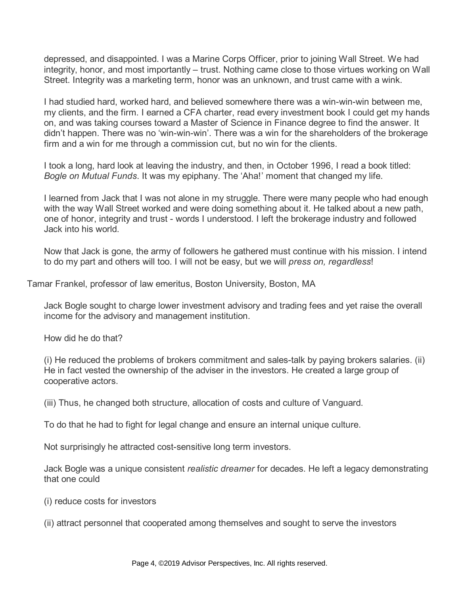depressed, and disappointed. I was a Marine Corps Officer, prior to joining Wall Street. We had integrity, honor, and most importantly – trust. Nothing came close to those virtues working on Wall Street. Integrity was a marketing term, honor was an unknown, and trust came with a wink.

I had studied hard, worked hard, and believed somewhere there was a win-win-win between me, my clients, and the firm. I earned a CFA charter, read every investment book I could get my hands on, and was taking courses toward a Master of Science in Finance degree to find the answer. It didn't happen. There was no 'win-win-win'. There was a win for the shareholders of the brokerage firm and a win for me through a commission cut, but no win for the clients.

I took a long, hard look at leaving the industry, and then, in October 1996, I read a book titled: *Bogle on Mutual Funds*. It was my epiphany. The 'Aha!' moment that changed my life.

I learned from Jack that I was not alone in my struggle. There were many people who had enough with the way Wall Street worked and were doing something about it. He talked about a new path, one of honor, integrity and trust - words I understood. I left the brokerage industry and followed Jack into his world.

Now that Jack is gone, the army of followers he gathered must continue with his mission. I intend to do my part and others will too. I will not be easy, but we will *press on, regardless*!

Tamar Frankel, professor of law emeritus, Boston University, Boston, MA

Jack Bogle sought to charge lower investment advisory and trading fees and yet raise the overall income for the advisory and management institution.

How did he do that?

(i) He reduced the problems of brokers commitment and sales-talk by paying brokers salaries. (ii) He in fact vested the ownership of the adviser in the investors. He created a large group of cooperative actors.

(iii) Thus, he changed both structure, allocation of costs and culture of Vanguard.

To do that he had to fight for legal change and ensure an internal unique culture.

Not surprisingly he attracted cost-sensitive long term investors.

Jack Bogle was a unique consistent *realistic dreamer* for decades. He left a legacy demonstrating that one could

- (i) reduce costs for investors
- (ii) attract personnel that cooperated among themselves and sought to serve the investors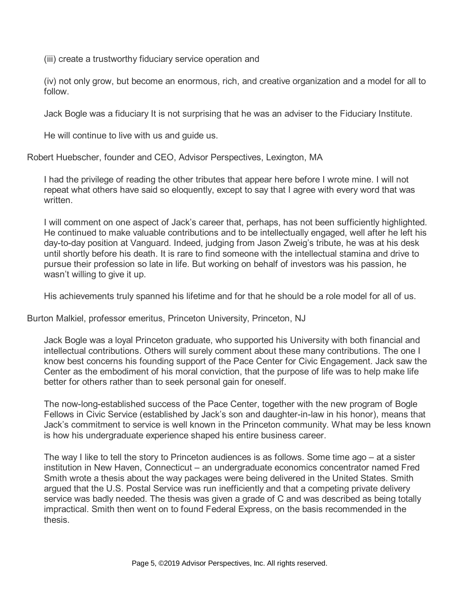(iii) create a trustworthy fiduciary service operation and

(iv) not only grow, but become an enormous, rich, and creative organization and a model for all to follow.

Jack Bogle was a fiduciary It is not surprising that he was an adviser to the Fiduciary Institute.

He will continue to live with us and guide us.

Robert Huebscher, founder and CEO, Advisor Perspectives, Lexington, MA

I had the privilege of reading the other tributes that appear here before I wrote mine. I will not repeat what others have said so eloquently, except to say that I agree with every word that was written.

I will comment on one aspect of Jack's career that, perhaps, has not been sufficiently highlighted. He continued to make valuable contributions and to be intellectually engaged, well after he left his day-to-day position at Vanguard. Indeed, judging from Jason Zweig's tribute, he was at his desk until shortly before his death. It is rare to find someone with the intellectual stamina and drive to pursue their profession so late in life. But working on behalf of investors was his passion, he wasn't willing to give it up.

His achievements truly spanned his lifetime and for that he should be a role model for all of us.

Burton Malkiel, professor emeritus, Princeton University, Princeton, NJ

Jack Bogle was a loyal Princeton graduate, who supported his University with both financial and intellectual contributions. Others will surely comment about these many contributions. The one I know best concerns his founding support of the Pace Center for Civic Engagement. Jack saw the Center as the embodiment of his moral conviction, that the purpose of life was to help make life better for others rather than to seek personal gain for oneself.

The now-long-established success of the Pace Center, together with the new program of Bogle Fellows in Civic Service (established by Jack's son and daughter-in-law in his honor), means that Jack's commitment to service is well known in the Princeton community. What may be less known is how his undergraduate experience shaped his entire business career.

The way I like to tell the story to Princeton audiences is as follows. Some time ago – at a sister institution in New Haven, Connecticut – an undergraduate economics concentrator named Fred Smith wrote a thesis about the way packages were being delivered in the United States. Smith argued that the U.S. Postal Service was run inefficiently and that a competing private delivery service was badly needed. The thesis was given a grade of C and was described as being totally impractical. Smith then went on to found Federal Express, on the basis recommended in the thesis.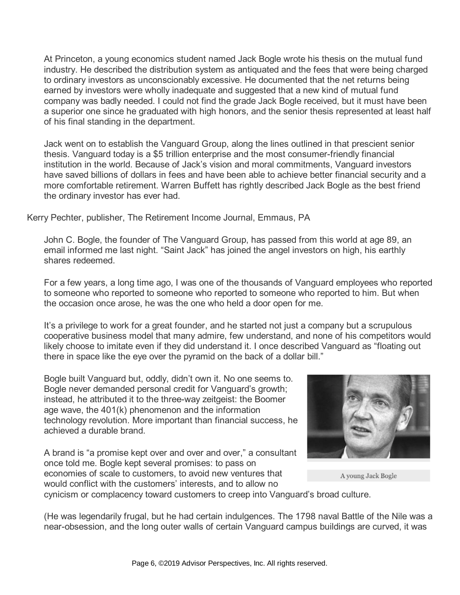At Princeton, a young economics student named Jack Bogle wrote his thesis on the mutual fund industry. He described the distribution system as antiquated and the fees that were being charged to ordinary investors as unconscionably excessive. He documented that the net returns being earned by investors were wholly inadequate and suggested that a new kind of mutual fund company was badly needed. I could not find the grade Jack Bogle received, but it must have been a superior one since he graduated with high honors, and the senior thesis represented at least half of his final standing in the department.

Jack went on to establish the Vanguard Group, along the lines outlined in that prescient senior thesis. Vanguard today is a \$5 trillion enterprise and the most consumer-friendly financial institution in the world. Because of Jack's vision and moral commitments, Vanguard investors have saved billions of dollars in fees and have been able to achieve better financial security and a more comfortable retirement. Warren Buffett has rightly described Jack Bogle as the best friend the ordinary investor has ever had.

Kerry Pechter, publisher, The Retirement Income Journal, Emmaus, PA

John C. Bogle, the founder of The Vanguard Group, has passed from this world at age 89, an email informed me last night. "Saint Jack" has joined the angel investors on high, his earthly shares redeemed.

For a few years, a long time ago, I was one of the thousands of Vanguard employees who reported to someone who reported to someone who reported to someone who reported to him. But when the occasion once arose, he was the one who held a door open for me.

It's a privilege to work for a great founder, and he started not just a company but a scrupulous cooperative business model that many admire, few understand, and none of his competitors would likely choose to imitate even if they did understand it. I once described Vanguard as "floating out there in space like the eye over the pyramid on the back of a dollar bill."

Bogle built Vanguard but, oddly, didn't own it. No one seems to. Bogle never demanded personal credit for Vanguard's growth; instead, he attributed it to the three-way zeitgeist: the Boomer age wave, the 401(k) phenomenon and the information technology revolution. More important than financial success, he achieved a durable brand.

A brand is "a promise kept over and over and over," a consultant once told me. Bogle kept several promises: to pass on economies of scale to customers, to avoid new ventures that would conflict with the customers' interests, and to allow no cynicism or complacency toward customers to creep into Vanguard's broad culture.



A young Jack Bogle

(He was legendarily frugal, but he had certain indulgences. The 1798 naval Battle of the Nile was a near-obsession, and the long outer walls of certain Vanguard campus buildings are curved, it was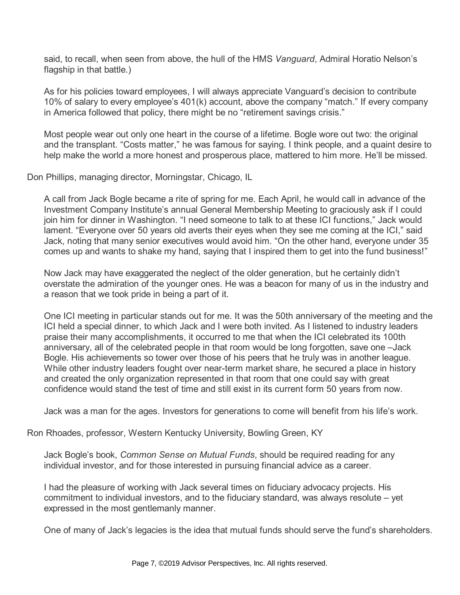said, to recall, when seen from above, the hull of the HMS *Vanguard*, Admiral Horatio Nelson's flagship in that battle.)

As for his policies toward employees, I will always appreciate Vanguard's decision to contribute 10% of salary to every employee's 401(k) account, above the company "match." If every company in America followed that policy, there might be no "retirement savings crisis."

Most people wear out only one heart in the course of a lifetime. Bogle wore out two: the original and the transplant. "Costs matter," he was famous for saying. I think people, and a quaint desire to help make the world a more honest and prosperous place, mattered to him more. He'll be missed.

Don Phillips, managing director, Morningstar, Chicago, IL

A call from Jack Bogle became a rite of spring for me. Each April, he would call in advance of the Investment Company Institute's annual General Membership Meeting to graciously ask if I could join him for dinner in Washington. "I need someone to talk to at these ICI functions," Jack would lament. "Everyone over 50 years old averts their eyes when they see me coming at the ICI," said Jack, noting that many senior executives would avoid him. "On the other hand, everyone under 35 comes up and wants to shake my hand, saying that I inspired them to get into the fund business!"

Now Jack may have exaggerated the neglect of the older generation, but he certainly didn't overstate the admiration of the younger ones. He was a beacon for many of us in the industry and a reason that we took pride in being a part of it.

One ICI meeting in particular stands out for me. It was the 50th anniversary of the meeting and the ICI held a special dinner, to which Jack and I were both invited. As I listened to industry leaders praise their many accomplishments, it occurred to me that when the ICI celebrated its 100th anniversary, all of the celebrated people in that room would be long forgotten, save one –Jack Bogle. His achievements so tower over those of his peers that he truly was in another league. While other industry leaders fought over near-term market share, he secured a place in history and created the only organization represented in that room that one could say with great confidence would stand the test of time and still exist in its current form 50 years from now.

Jack was a man for the ages. Investors for generations to come will benefit from his life's work.

Ron Rhoades, professor, Western Kentucky University, Bowling Green, KY

Jack Bogle's book, *Common Sense on Mutual Funds*, should be required reading for any individual investor, and for those interested in pursuing financial advice as a career.

I had the pleasure of working with Jack several times on fiduciary advocacy projects. His commitment to individual investors, and to the fiduciary standard, was always resolute – yet expressed in the most gentlemanly manner.

One of many of Jack's legacies is the idea that mutual funds should serve the fund's shareholders.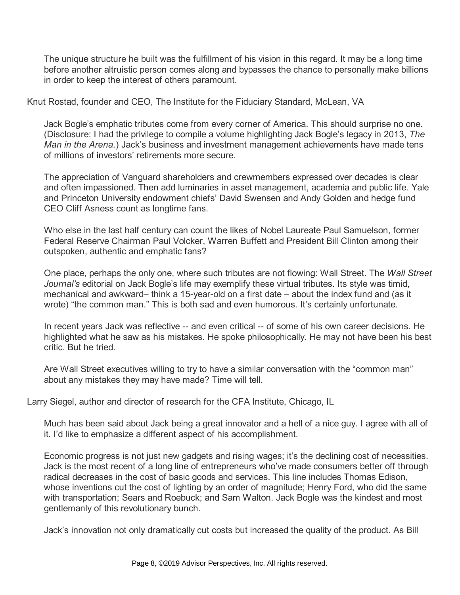The unique structure he built was the fulfillment of his vision in this regard. It may be a long time before another altruistic person comes along and bypasses the chance to personally make billions in order to keep the interest of others paramount.

Knut Rostad, founder and CEO, The Institute for the Fiduciary Standard, McLean, VA

Jack Bogle's emphatic tributes come from every corner of America. This should surprise no one. (Disclosure: I had the privilege to compile a volume highlighting Jack Bogle's legacy in 2013, *The Man in the Arena.*) Jack's business and investment management achievements have made tens of millions of investors' retirements more secure.

The appreciation of Vanguard shareholders and crewmembers expressed over decades is clear and often impassioned. Then add luminaries in asset management, academia and public life. Yale and Princeton University endowment chiefs' David Swensen and Andy Golden and hedge fund CEO Cliff Asness count as longtime fans.

Who else in the last half century can count the likes of Nobel Laureate Paul Samuelson, former Federal Reserve Chairman Paul Volcker, Warren Buffett and President Bill Clinton among their outspoken, authentic and emphatic fans?

One place, perhaps the only one, where such tributes are not flowing: Wall Street. The *Wall Street Journal's* editorial on Jack Bogle's life may exemplify these virtual tributes. Its style was timid, mechanical and awkward– think a 15-year-old on a first date – about the index fund and (as it wrote) "the common man." This is both sad and even humorous. It's certainly unfortunate.

In recent years Jack was reflective -- and even critical -- of some of his own career decisions. He highlighted what he saw as his mistakes. He spoke philosophically. He may not have been his best critic. But he tried.

Are Wall Street executives willing to try to have a similar conversation with the "common man" about any mistakes they may have made? Time will tell.

Larry Siegel, author and director of research for the CFA Institute, Chicago, IL

Much has been said about Jack being a great innovator and a hell of a nice guy. I agree with all of it. I'd like to emphasize a different aspect of his accomplishment.

Economic progress is not just new gadgets and rising wages; it's the declining cost of necessities. Jack is the most recent of a long line of entrepreneurs who've made consumers better off through radical decreases in the cost of basic goods and services. This line includes Thomas Edison, whose inventions cut the cost of lighting by an order of magnitude; Henry Ford, who did the same with transportation; Sears and Roebuck; and Sam Walton. Jack Bogle was the kindest and most gentlemanly of this revolutionary bunch.

Jack's innovation not only dramatically cut costs but increased the quality of the product. As Bill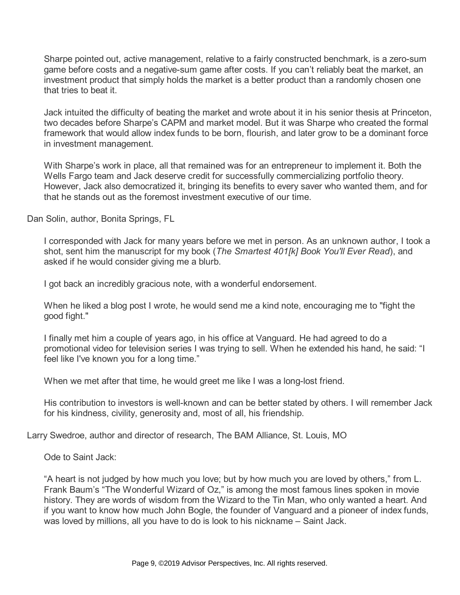Sharpe pointed out, active management, relative to a fairly constructed benchmark, is a zero-sum game before costs and a negative-sum game after costs. If you can't reliably beat the market, an investment product that simply holds the market is a better product than a randomly chosen one that tries to beat it.

Jack intuited the difficulty of beating the market and wrote about it in his senior thesis at Princeton, two decades before Sharpe's CAPM and market model. But it was Sharpe who created the formal framework that would allow index funds to be born, flourish, and later grow to be a dominant force in investment management.

With Sharpe's work in place, all that remained was for an entrepreneur to implement it. Both the Wells Fargo team and Jack deserve credit for successfully commercializing portfolio theory. However, Jack also democratized it, bringing its benefits to every saver who wanted them, and for that he stands out as the foremost investment executive of our time.

Dan Solin, author, Bonita Springs, FL

I corresponded with Jack for many years before we met in person. As an unknown author, I took a shot, sent him the manuscript for my book (*The Smartest 401[k] Book You'll Ever Read*), and asked if he would consider giving me a blurb.

I got back an incredibly gracious note, with a wonderful endorsement.

When he liked a blog post I wrote, he would send me a kind note, encouraging me to "fight the good fight."

I finally met him a couple of years ago, in his office at Vanguard. He had agreed to do a promotional video for television series I was trying to sell. When he extended his hand, he said: "I feel like I've known you for a long time."

When we met after that time, he would greet me like I was a long-lost friend.

His contribution to investors is well-known and can be better stated by others. I will remember Jack for his kindness, civility, generosity and, most of all, his friendship.

Larry Swedroe, author and director of research, The BAM Alliance, St. Louis, MO

Ode to Saint Jack:

"A heart is not judged by how much you love; but by how much you are loved by others," from L. Frank Baum's "The Wonderful Wizard of Oz," is among the most famous lines spoken in movie history. They are words of wisdom from the Wizard to the Tin Man, who only wanted a heart. And if you want to know how much John Bogle, the founder of Vanguard and a pioneer of index funds, was loved by millions, all you have to do is look to his nickname – Saint Jack.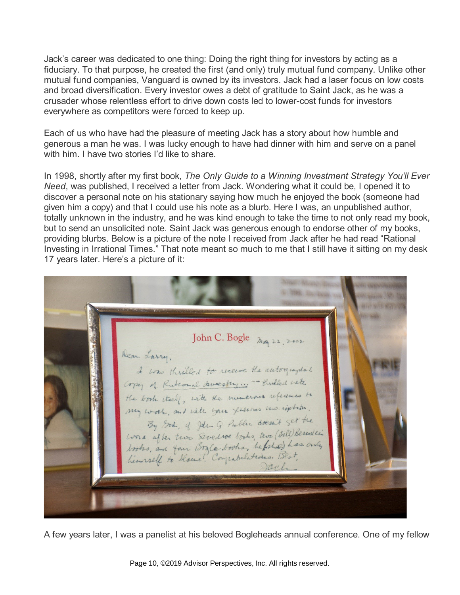Jack's career was dedicated to one thing: Doing the right thing for investors by acting as a fiduciary. To that purpose, he created the first (and only) truly mutual fund company. Unlike other mutual fund companies, Vanguard is owned by its investors. Jack had a laser focus on low costs and broad diversification. Every investor owes a debt of gratitude to Saint Jack, as he was a crusader whose relentless effort to drive down costs led to lower-cost funds for investors everywhere as competitors were forced to keep up.

Each of us who have had the pleasure of meeting Jack has a story about how humble and generous a man he was. I was lucky enough to have had dinner with him and serve on a panel with him. I have two stories I'd like to share.

In 1998, shortly after my first book, *The Only Guide to a Winning Investment Strategy You'll Ever Need*, was published, I received a letter from Jack. Wondering what it could be, I opened it to discover a personal note on his stationary saying how much he enjoyed the book (someone had given him a copy) and that I could use his note as a blurb. Here I was, an unpublished author, totally unknown in the industry, and he was kind enough to take the time to not only read my book, but to send an unsolicited note. Saint Jack was generous enough to endorse other of my books, providing blurbs. Below is a picture of the note I received from Jack after he had read "Rational Investing in Irrational Times." That note meant so much to me that I still have it sitting on my desk 17 years later. Here's a picture of it:

John C. Bogle  $\lim_{n \to \infty} 22.2002$ Dear Larry. I was thrilled to receive the autographed the book itself, with the numerous references to my work, and with your fevernes moniphism. By God, of Jelle G. Public doesn't get the word after two Swede looks, two (Bill) Bernstein Wind after two sweather works, we (and das only)<br>books, and four Bogle books, he folial has only

A few years later, I was a panelist at his beloved Bogleheads annual conference. One of my fellow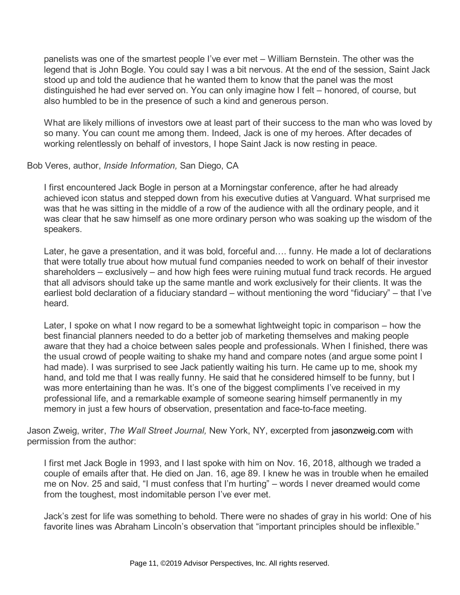panelists was one of the smartest people I've ever met – William Bernstein. The other was the legend that is John Bogle. You could say I was a bit nervous. At the end of the session, Saint Jack stood up and told the audience that he wanted them to know that the panel was the most distinguished he had ever served on. You can only imagine how I felt – honored, of course, but also humbled to be in the presence of such a kind and generous person.

What are likely millions of investors owe at least part of their success to the man who was loved by so many. You can count me among them. Indeed, Jack is one of my heroes. After decades of working relentlessly on behalf of investors, I hope Saint Jack is now resting in peace.

## Bob Veres, author, *Inside Information,* San Diego, CA

I first encountered Jack Bogle in person at a Morningstar conference, after he had already achieved icon status and stepped down from his executive duties at Vanguard. What surprised me was that he was sitting in the middle of a row of the audience with all the ordinary people, and it was clear that he saw himself as one more ordinary person who was soaking up the wisdom of the speakers.

Later, he gave a presentation, and it was bold, forceful and…. funny. He made a lot of declarations that were totally true about how mutual fund companies needed to work on behalf of their investor shareholders – exclusively – and how high fees were ruining mutual fund track records. He argued that all advisors should take up the same mantle and work exclusively for their clients. It was the earliest bold declaration of a fiduciary standard – without mentioning the word "fiduciary" – that I've heard.

Later, I spoke on what I now regard to be a somewhat lightweight topic in comparison – how the best financial planners needed to do a better job of marketing themselves and making people aware that they had a choice between sales people and professionals. When I finished, there was the usual crowd of people waiting to shake my hand and compare notes (and argue some point I had made). I was surprised to see Jack patiently waiting his turn. He came up to me, shook my hand, and told me that I was really funny. He said that he considered himself to be funny, but I was more entertaining than he was. It's one of the biggest compliments I've received in my professional life, and a remarkable example of someone searing himself permanently in my memory in just a few hours of observation, presentation and face-to-face meeting.

Jason Zweig, writer, *The Wall Street Journal,* New York, NY, excerpted from [jasonzweig.com](http://jasonzweig.com/) with permission from the author:

I first met Jack Bogle in 1993, and I last spoke with him on Nov. 16, 2018, although we traded a couple of emails after that. He died on Jan. 16, age 89. I knew he was in trouble when he emailed me on Nov. 25 and said, "I must confess that I'm hurting" – words I never dreamed would come from the toughest, most indomitable person I've ever met.

Jack's zest for life was something to behold. There were no shades of gray in his world: One of his favorite lines was Abraham Lincoln's observation that "important principles should be inflexible."